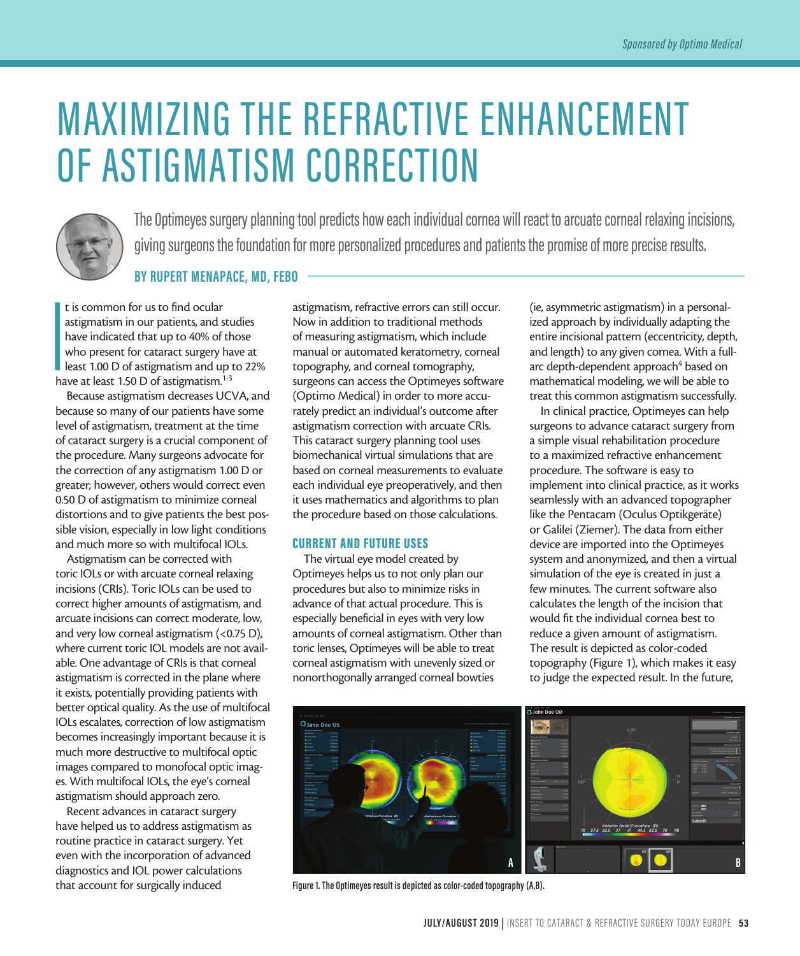# MAXIMIZING THE REFRACTIVE ENHANCEMENT OF ASTIGMATISM CORRECTION



The Optimeyes surgery planning tool predicts how each individual cornea will react to arcuate corneal relaxing incisions, giving surgeons the foundation for more personalized procedures and patients the promise of more precise results.

**BY RUPERT MENAPACE, MD, FEBO**

**I**<br>I<br>I<br>ha t is common for us to find ocular astigmatism in our patients, and studies have indicated that up to 40% of those who present for cataract surgery have at **least 1.00 D of astigmatism and up to 22%** have at least 1.50 D of astigmatism.<sup>1-3</sup>

Because astigmatism decreases UCVA, and because so many of our patients have some level of astigmatism, treatment at the time of cataract surgery is a crucial component of the procedure. Many surgeons advocate for the correction of any astigmatism 1.00 D or greater; however, others would correct even 0.50 D of astigmatism to minimize corneal distortions and to give patients the best possible vision, especially in low light conditions and much more so with multifocal IOLs.

Astigmatism can be corrected with toric IOLs or with arcuate corneal relaxing incisions (CRIs). Toric IOLs can be used to correct higher amounts of astigmatism, and arcuate incisions can correct moderate, low, and very low corneal astigmatism (<0.75 D), where current toric IOL models are not available. One advantage of CRIs is that corneal astigmatism is corrected in the plane where it exists, potentially providing patients with better optical quality. As the use of multifocal IOLs escalates, correction of low astigmatism becomes increasingly important because it is much more destructive to multifocal optic images compared to monofocal optic images. With multifocal IOLs, the eye's corneal astigmatism should approach zero.

Recent advances in cataract surgery have helped us to address astigmatism as routine practice in cataract surgery. Yet even with the incorporation of advanced diagnostics and IOL power calculations that account for surgically induced

astigmatism, refractive errors can still occur. Now in addition to traditional methods of measuring astigmatism, which include manual or automated keratometry, corneal topography, and corneal tomography, surgeons can access the Optimeyes software (Optimo Medical) in order to more accurately predict an individual's outcome after astigmatism correction with arcuate CRIs. This cataract surgery planning tool uses biomechanical virtual simulations that are based on corneal measurements to evaluate each individual eye preoperatively, and then it uses mathematics and algorithms to plan the procedure based on those calculations.

## CURRENT AND FUTURE USES

The virtual eye model created by Optimeyes helps us to not only plan our procedures but also to minimize risks in advance of that actual procedure. This is especially beneficial in eyes with very low amounts of corneal astigmatism. Other than toric lenses, Optimeyes will be able to treat corneal astigmatism with unevenly sized or nonorthogonally arranged corneal bowties

(ie, asymmetric astigmatism) in a personalized approach by individually adapting the entire incisional pattern (eccentricity, depth, and length) to any given cornea. With a fullarc depth-dependent approach<sup>4</sup> based on mathematical modeling, we will be able to treat this common astigmatism successfully.

In clinical practice, Optimeyes can help surgeons to advance cataract surgery from a simple visual rehabilitation procedure to a maximized refractive enhancement procedure. The software is easy to implement into clinical practice, as it works seamlessly with an advanced topographer like the Pentacam (Oculus Optikgeräte) or Galilei (Ziemer). The data from either device are imported into the Optimeyes system and anonymized, and then a virtual simulation of the eye is created in just a few minutes. The current software also calculates the length of the incision that would fit the individual cornea best to reduce a given amount of astigmatism. The result is depicted as color-coded topography (Figure 1), which makes it easy to judge the expected result. In the future,



**Figure 1. The Optimeyes result is depicted as color-coded topography (A,B).**